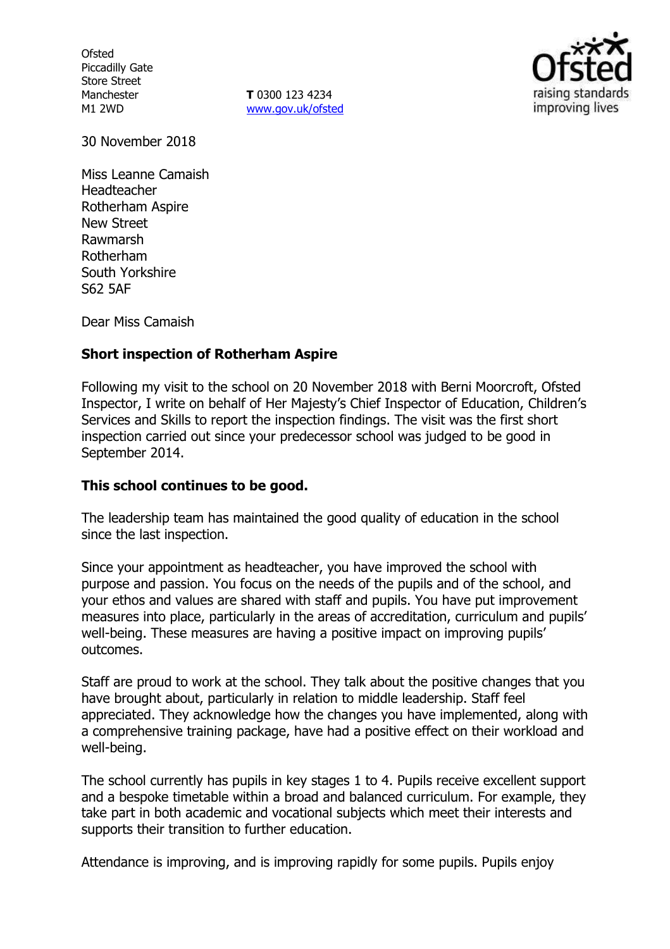**Ofsted** Piccadilly Gate Store Street Manchester M1 2WD

**T** 0300 123 4234 [www.gov.uk/ofsted](http://www.gov.uk/ofsted)



30 November 2018

Miss Leanne Camaish Headteacher Rotherham Aspire New Street Rawmarsh Rotherham South Yorkshire S62 5AF

Dear Miss Camaish

# **Short inspection of Rotherham Aspire**

Following my visit to the school on 20 November 2018 with Berni Moorcroft, Ofsted Inspector, I write on behalf of Her Majesty's Chief Inspector of Education, Children's Services and Skills to report the inspection findings. The visit was the first short inspection carried out since your predecessor school was judged to be good in September 2014.

# **This school continues to be good.**

The leadership team has maintained the good quality of education in the school since the last inspection.

Since your appointment as headteacher, you have improved the school with purpose and passion. You focus on the needs of the pupils and of the school, and your ethos and values are shared with staff and pupils. You have put improvement measures into place, particularly in the areas of accreditation, curriculum and pupils' well-being. These measures are having a positive impact on improving pupils' outcomes.

Staff are proud to work at the school. They talk about the positive changes that you have brought about, particularly in relation to middle leadership. Staff feel appreciated. They acknowledge how the changes you have implemented, along with a comprehensive training package, have had a positive effect on their workload and well-being.

The school currently has pupils in key stages 1 to 4. Pupils receive excellent support and a bespoke timetable within a broad and balanced curriculum. For example, they take part in both academic and vocational subjects which meet their interests and supports their transition to further education.

Attendance is improving, and is improving rapidly for some pupils. Pupils enjoy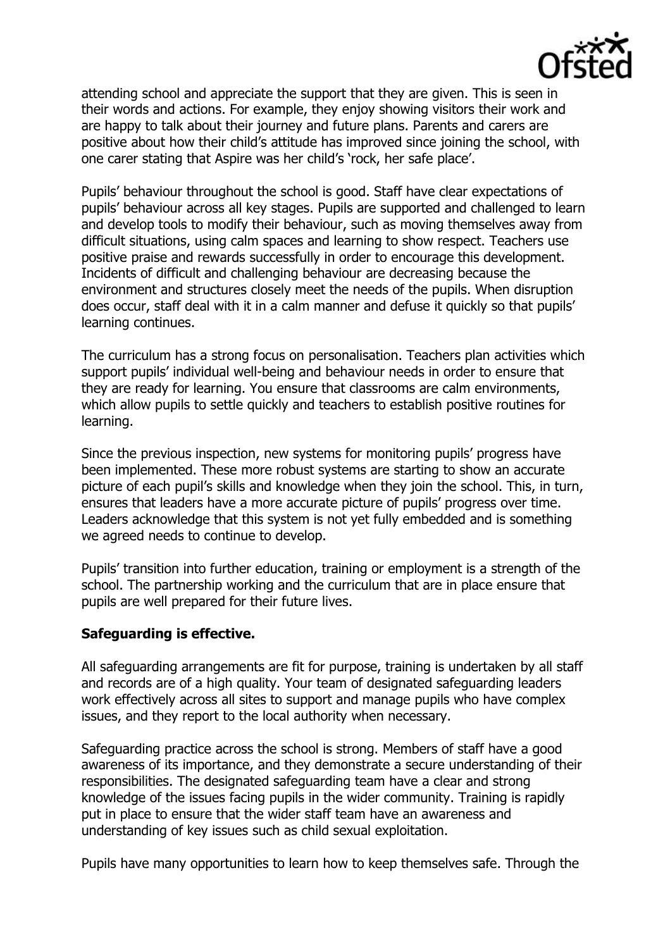

attending school and appreciate the support that they are given. This is seen in their words and actions. For example, they enjoy showing visitors their work and are happy to talk about their journey and future plans. Parents and carers are positive about how their child's attitude has improved since joining the school, with one carer stating that Aspire was her child's 'rock, her safe place'.

Pupils' behaviour throughout the school is good. Staff have clear expectations of pupils' behaviour across all key stages. Pupils are supported and challenged to learn and develop tools to modify their behaviour, such as moving themselves away from difficult situations, using calm spaces and learning to show respect. Teachers use positive praise and rewards successfully in order to encourage this development. Incidents of difficult and challenging behaviour are decreasing because the environment and structures closely meet the needs of the pupils. When disruption does occur, staff deal with it in a calm manner and defuse it quickly so that pupils' learning continues.

The curriculum has a strong focus on personalisation. Teachers plan activities which support pupils' individual well-being and behaviour needs in order to ensure that they are ready for learning. You ensure that classrooms are calm environments, which allow pupils to settle quickly and teachers to establish positive routines for learning.

Since the previous inspection, new systems for monitoring pupils' progress have been implemented. These more robust systems are starting to show an accurate picture of each pupil's skills and knowledge when they join the school. This, in turn, ensures that leaders have a more accurate picture of pupils' progress over time. Leaders acknowledge that this system is not yet fully embedded and is something we agreed needs to continue to develop.

Pupils' transition into further education, training or employment is a strength of the school. The partnership working and the curriculum that are in place ensure that pupils are well prepared for their future lives.

# **Safeguarding is effective.**

All safeguarding arrangements are fit for purpose, training is undertaken by all staff and records are of a high quality. Your team of designated safeguarding leaders work effectively across all sites to support and manage pupils who have complex issues, and they report to the local authority when necessary.

Safeguarding practice across the school is strong. Members of staff have a good awareness of its importance, and they demonstrate a secure understanding of their responsibilities. The designated safeguarding team have a clear and strong knowledge of the issues facing pupils in the wider community. Training is rapidly put in place to ensure that the wider staff team have an awareness and understanding of key issues such as child sexual exploitation.

Pupils have many opportunities to learn how to keep themselves safe. Through the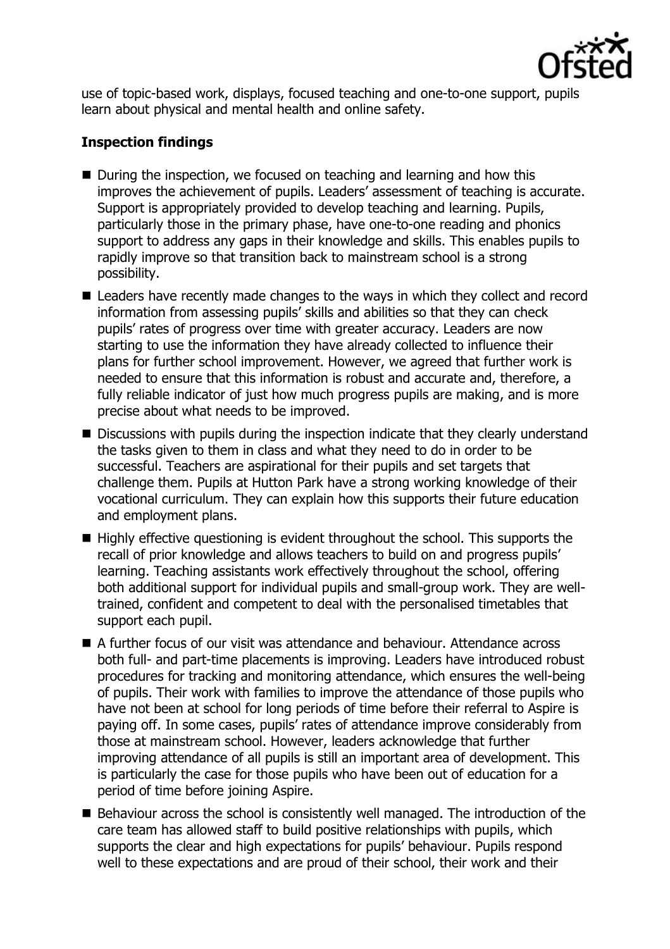

use of topic-based work, displays, focused teaching and one-to-one support, pupils learn about physical and mental health and online safety.

# **Inspection findings**

- During the inspection, we focused on teaching and learning and how this improves the achievement of pupils. Leaders' assessment of teaching is accurate. Support is appropriately provided to develop teaching and learning. Pupils, particularly those in the primary phase, have one-to-one reading and phonics support to address any gaps in their knowledge and skills. This enables pupils to rapidly improve so that transition back to mainstream school is a strong possibility.
- Leaders have recently made changes to the ways in which they collect and record information from assessing pupils' skills and abilities so that they can check pupils' rates of progress over time with greater accuracy. Leaders are now starting to use the information they have already collected to influence their plans for further school improvement. However, we agreed that further work is needed to ensure that this information is robust and accurate and, therefore, a fully reliable indicator of just how much progress pupils are making, and is more precise about what needs to be improved.
- Discussions with pupils during the inspection indicate that they clearly understand the tasks given to them in class and what they need to do in order to be successful. Teachers are aspirational for their pupils and set targets that challenge them. Pupils at Hutton Park have a strong working knowledge of their vocational curriculum. They can explain how this supports their future education and employment plans.
- $\blacksquare$  Highly effective questioning is evident throughout the school. This supports the recall of prior knowledge and allows teachers to build on and progress pupils' learning. Teaching assistants work effectively throughout the school, offering both additional support for individual pupils and small-group work. They are welltrained, confident and competent to deal with the personalised timetables that support each pupil.
- A further focus of our visit was attendance and behaviour. Attendance across both full- and part-time placements is improving. Leaders have introduced robust procedures for tracking and monitoring attendance, which ensures the well-being of pupils. Their work with families to improve the attendance of those pupils who have not been at school for long periods of time before their referral to Aspire is paying off. In some cases, pupils' rates of attendance improve considerably from those at mainstream school. However, leaders acknowledge that further improving attendance of all pupils is still an important area of development. This is particularly the case for those pupils who have been out of education for a period of time before joining Aspire.
- Behaviour across the school is consistently well managed. The introduction of the care team has allowed staff to build positive relationships with pupils, which supports the clear and high expectations for pupils' behaviour. Pupils respond well to these expectations and are proud of their school, their work and their